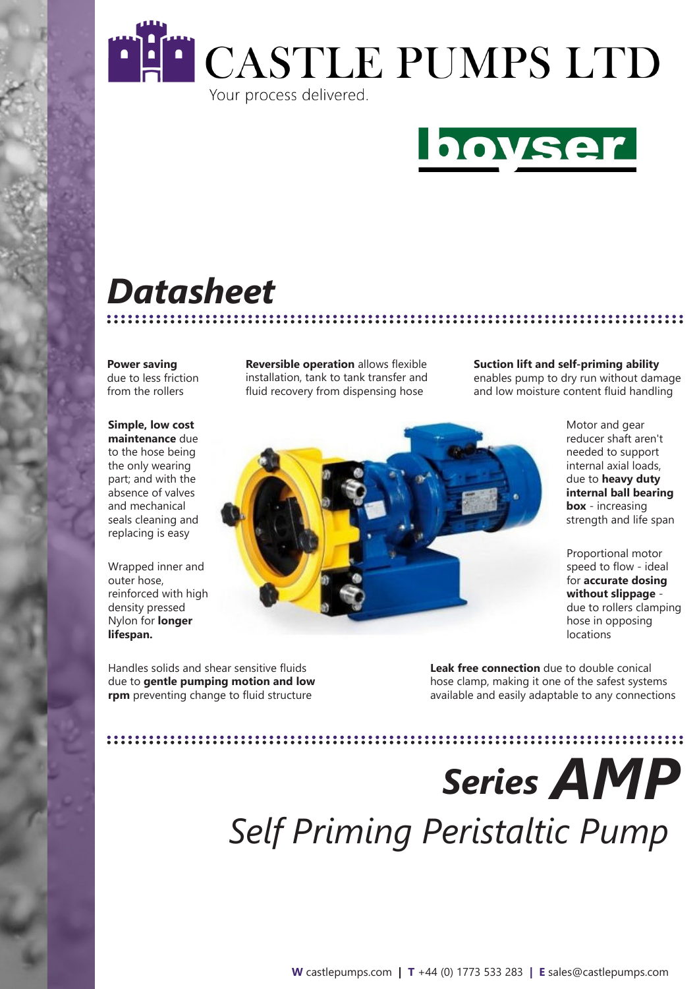



# *Datasheet*

**Power saving**  due to less friction from the rollers

**Simple, low cost maintenance** due to the hose being the only wearing part; and with the absence of valves and mechanical seals cleaning and replacing is easy

Wrapped inner and outer hose, reinforced with high density pressed Nylon for **longer lifespan.**

installation, tank to tank transfer and fluid recovery from dispensing hose

**Reversible operation** allows flexible

**Suction lift and self-priming ability** enables pump to dry run without damage and low moisture content fluid handling

.............................

Motor and gear reducer shaft aren't needed to support internal axial loads, due to **heavy duty internal ball bearing box** - increasing strength and life span

Proportional motor speed to flow - ideal for **accurate dosing without slippage** due to rollers clamping hose in opposing locations

Handles solids and shear sensitive fluids due to **gentle pumping motion and low rpm** preventing change to fluid structure

**Leak free connection** due to double conical hose clamp, making it one of the safest systems available and easily adaptable to any connections

*Series AMP Self Priming Peristaltic Pump*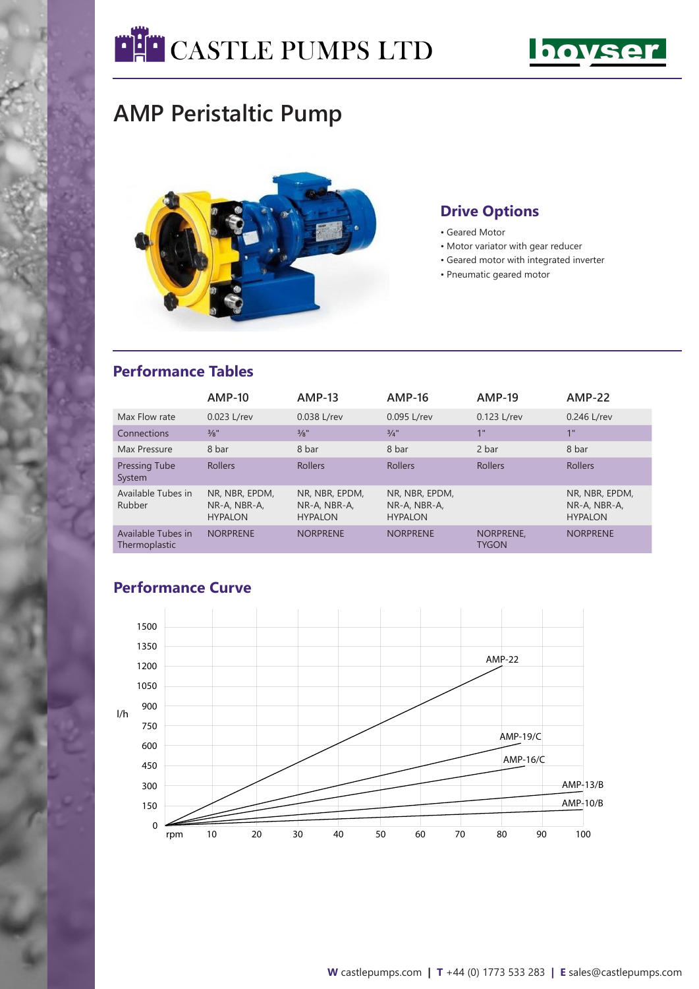



## **AMP Peristaltic Pump**



#### **Drive Options**

- Geared Motor
- Motor variator with gear reducer
- Geared motor with integrated inverter
- Pneumatic geared motor

#### **Performance Tables**

|                                     | $AMP-10$                                         | $AMP-13$                                         | <b>AMP-16</b>                                    | <b>AMP-19</b>                   | $AMP-22$                                         |
|-------------------------------------|--------------------------------------------------|--------------------------------------------------|--------------------------------------------------|---------------------------------|--------------------------------------------------|
| Max Flow rate                       | 0.023 L/rev                                      | 0.038 L/rev                                      | 0.095 L/rev                                      | 0.123 L/rev                     | 0.246 L/rev                                      |
| Connections                         | $\frac{3}{8}$ "                                  | $\frac{3}{8}$ "                                  | $3/4$ "                                          | 1 <sup>11</sup>                 | 1"                                               |
| Max Pressure                        | 8 bar                                            | 8 bar                                            | 8 bar                                            | 2 bar                           | 8 bar                                            |
| Pressing Tube<br>System             | <b>Rollers</b>                                   | <b>Rollers</b>                                   | <b>Rollers</b>                                   | <b>Rollers</b>                  | <b>Rollers</b>                                   |
| Available Tubes in<br>Rubber        | NR. NBR. EPDM.<br>NR-A, NBR-A,<br><b>HYPALON</b> | NR. NBR. EPDM.<br>NR-A, NBR-A,<br><b>HYPALON</b> | NR. NBR. EPDM.<br>NR-A, NBR-A,<br><b>HYPALON</b> |                                 | NR. NBR. EPDM.<br>NR-A, NBR-A,<br><b>HYPALON</b> |
| Available Tubes in<br>Thermoplastic | <b>NORPRENE</b>                                  | <b>NORPRENE</b>                                  | <b>NORPRENE</b>                                  | <b>NORPRENE</b><br><b>TYGON</b> | <b>NORPRENE</b>                                  |

#### **Performance Curve**

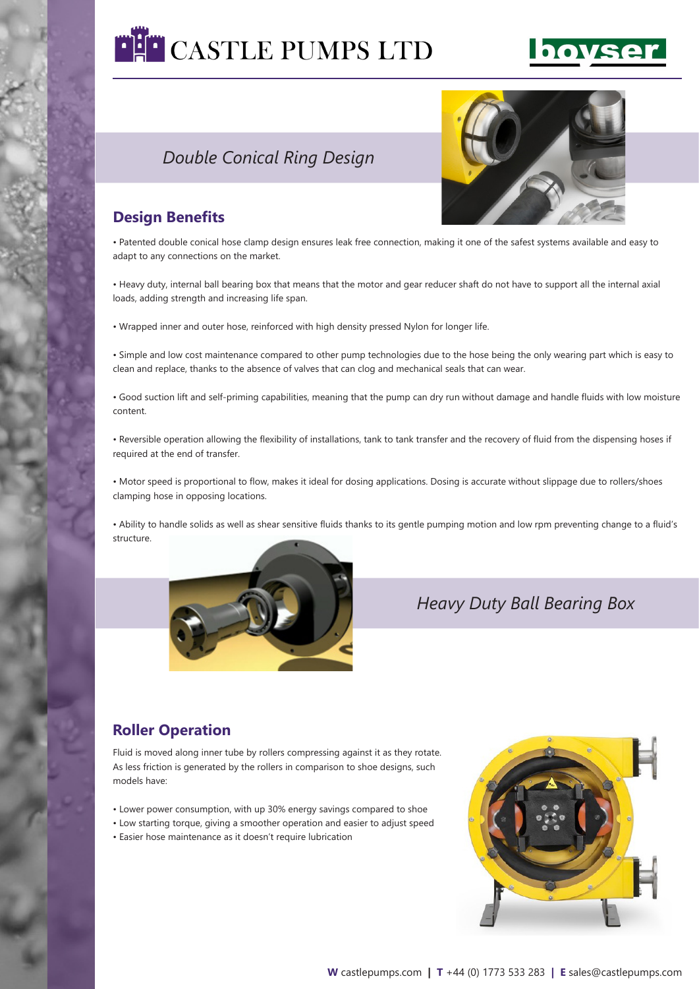

### *Double Conical Ring Design*



#### **Design Benefits**

• Patented double conical hose clamp design ensures leak free connection, making it one of the safest systems available and easy to adapt to any connections on the market.

• Heavy duty, internal ball bearing box that means that the motor and gear reducer shaft do not have to support all the internal axial loads, adding strength and increasing life span.

• Wrapped inner and outer hose, reinforced with high density pressed Nylon for longer life.

• Simple and low cost maintenance compared to other pump technologies due to the hose being the only wearing part which is easy to clean and replace, thanks to the absence of valves that can clog and mechanical seals that can wear.

• Good suction lift and self-priming capabilities, meaning that the pump can dry run without damage and handle fluids with low moisture content.

• Reversible operation allowing the flexibility of installations, tank to tank transfer and the recovery of fluid from the dispensing hoses if required at the end of transfer.

• Motor speed is proportional to flow, makes it ideal for dosing applications. Dosing is accurate without slippage due to rollers/shoes clamping hose in opposing locations.

• Ability to handle solids as well as shear sensitive fluids thanks to its gentle pumping motion and low rpm preventing change to a fluid's structure.



*Heavy Duty Ball Bearing Box*

### **Roller Operation**

Fluid is moved along inner tube by rollers compressing against it as they rotate. As less friction is generated by the rollers in comparison to shoe designs, such models have:

- Lower power consumption, with up 30% energy savings compared to shoe
- Low starting torque, giving a smoother operation and easier to adjust speed
- Easier hose maintenance as it doesn't require lubrication